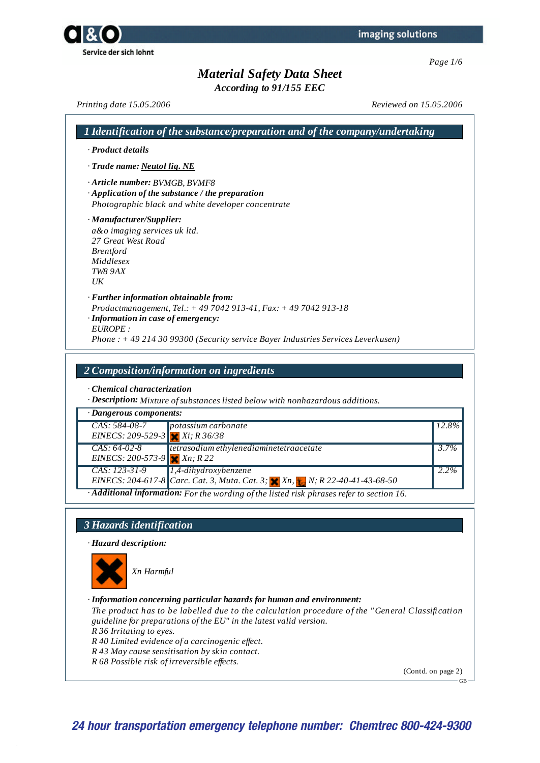## *Material Safety Data Sheet*

*According to 91/155 EEC*

*Printing date 15.05.2006 Reviewed on 15.05.2006*

| · Product details                                                                                                          |                                                                                                                                                   |       |
|----------------------------------------------------------------------------------------------------------------------------|---------------------------------------------------------------------------------------------------------------------------------------------------|-------|
| · Trade name: Neutol liq. NE                                                                                               |                                                                                                                                                   |       |
| · Article number: BVMGB, BVMF8                                                                                             | $\cdot$ Application of the substance / the preparation<br>Photographic black and white developer concentrate                                      |       |
| · Manufacturer/Supplier:<br>a&o imaging services uk ltd.<br>27 Great West Road<br><b>Brentford</b><br>Middlesex<br>TW8 9AX |                                                                                                                                                   |       |
| UK                                                                                                                         |                                                                                                                                                   |       |
| · Further information obtainable from:<br>· Information in case of emergency:<br>EUROPE:                                   | Productmanagement, Tel.: +49 7042 913-41, Fax: +49 7042 913-18<br>Phone: +49 214 30 99300 (Security service Bayer Industries Services Leverkusen) |       |
| Chemical characterization                                                                                                  | 2 Composition/information on ingredients<br>· Description: Mixture of substances listed below with nonhazardous additions.                        |       |
| $\overline{\cdot$ Dangerous components:                                                                                    |                                                                                                                                                   |       |
| CAS: 584-08-7                                                                                                              | potassium carbonate                                                                                                                               | 12.8% |
| EINECS: 209-529-3 $Xi; R36/38$<br>$CAS: 64-02-8$<br>EINECS: 200-573-9 $x_n$ ; R 22                                         | tetrasodium ethylenediaminetetraacetate                                                                                                           | 3.7%  |

## *3 Hazards identification*

### *· Hazard description:*



*Xn Harmful*

### *· Information concerning particular hazards for human and environment:*

*The product has to be labelled due to the calculation procedure of the "General Classification guideline for preparations of the EU" in the latest valid version.*

*R 36 Irritating to eyes.*

*R 40 Limited evidence of a carcinogenic ef ect.*

*R 43 May cause sensitisation by skin contact.*

*R 68 Possible risk of irreversible ef ects.*

(Contd. on page 2)

GB

**24 hour transportation emergency telephone number: Chemtrec 800-424-9300**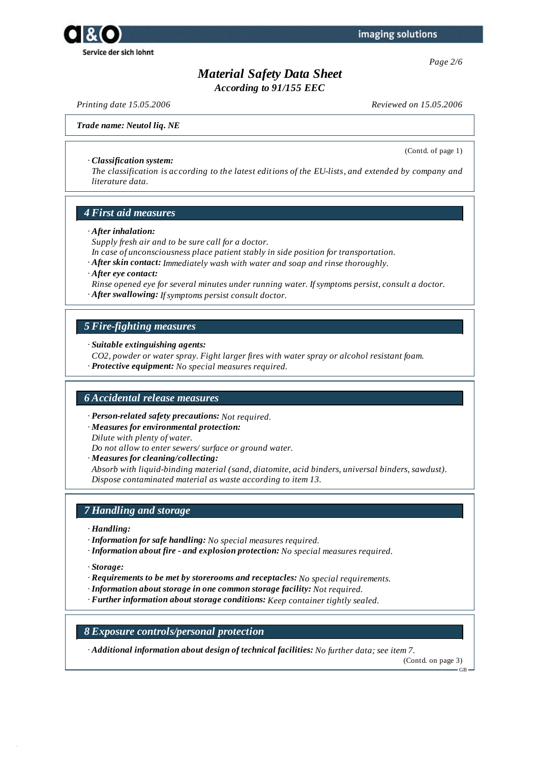

*Page 2/6*

## *Material Safety Data Sheet*

*According to 91/155 EEC*

*Printing date 15.05.2006 Reviewed on 15.05.2006*

(Contd. of page 1)

### *Trade name: Neutol liq. NE*

### *· Classification system:*

*The classification is according to the latest editions of the EU-lists, and extended by company and literature data.*

## *4 First aid measures*

*· After inhalation:*

*Supply fresh air and to be sure call for a doctor.*

- *In case of unconsciousness place patient stably in side position for transportation.*
- *· After skin contact: Immediately wash with water and soap and rinse thoroughly.*
- *· After eye contact:*
- *Rinse opened eye for several minutes under running water. Ifsymptoms persist, consult a doctor.*
- *· After swallowing: Ifsymptoms persist consult doctor.*

## *5 Fire-fighting measures*

*· Suitable extinguishing agents:*

*CO2, powder or water spray. Fight larger fires with water spray or alcohol resistant foam.*

*· Protective equipment: No special measures required.*

### *6 Accidental release measures*

*· Person-related safety precautions: Not required.*

*· Measures for environmental protection:*

*Dilute with plenty of water.*

*Do not allow to enter sewers/ surface or ground water.*

*· Measures for cleaning/collecting:*

*Absorb with liquid-binding material (sand, diatomite, acid binders, universal binders, sawdust). Dispose contaminated material as waste according to item 13.*

## *7 Handling and storage*

- *· Handling:*
- *· Information for safe handling: No special measures required.*
- *· Information about fire - and explosion protection: No special measures required.*
- *· Storage:*
- *· Requirements to be met by storerooms and receptacles: No special requirements.*
- *· Information about storage in one common storage facility: Not required.*
- *· Further information about storage conditions: Keep container tightly sealed.*

### *8 Exposure controls/personal protection*

*· Additional information about design of technical facilities: No further data; see item 7.*

(Contd. on page 3)

GB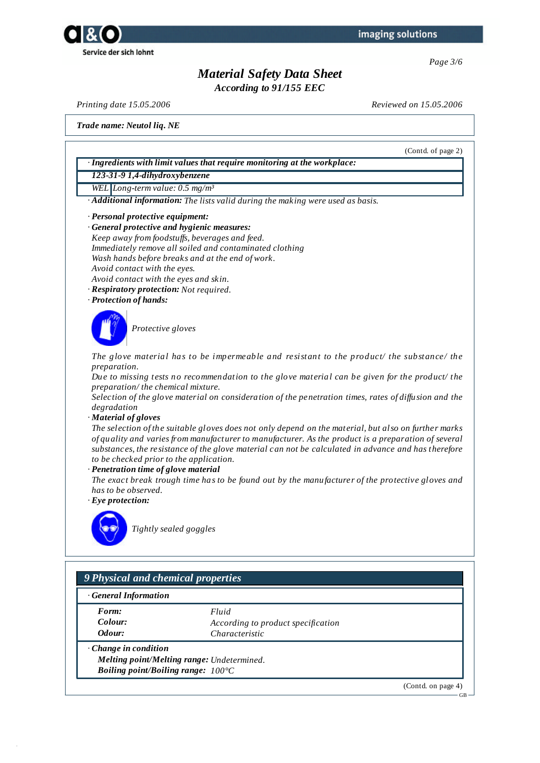



GB

# *Material Safety Data Sheet*

*According to 91/155 EEC*

*Printing date 15.05.2006 Reviewed on 15.05.2006*

*Trade name: Neutol liq. NE*

(Contd. of page 2) *· Ingredients with limit values that require monitoring at the workplace: 123-31-9 1,4-dihydroxybenzene WEL Long-term value: 0.5 mg/m³ · Additional information: The lists valid during the making were used as basis. · Personal protective equipment: · General protective and hygienic measures: Keep away from foodstufs, beverages and feed. Immediately remove all soiled and contaminated clothing Wash hands before breaks and at the end of work. Avoid contact with the eyes. Avoid contact with the eyes and skin. · Respiratory protection: Not required. · Protection of hands: Protective gloves The glove material has to be impermeable and resistant to the product/ the substance/ the preparation. Due to missing tests no recommendation to the glove material can be given for the product/ the preparation/ the chemical mixture. Selection of the glove material on consideration of the penetration times, rates of dif usion and the degradation · Material of gloves* The selection of the suitable gloves does not only depend on the material, but also on further marks *of quality and varies from manufacturer to manufacturer. As the product is a preparation of several substances, the resistance of the glove material can not be calculated in advance and has therefore to be checked prior to the application. · Penetration time of glove material The exact break trough time has to be found out by the manufacturer of the protective gloves and has to be observed. · Eye protection: Tightly sealed goggles 9 Physical and chemical properties*

*· General Information Form: Fluid Colour: According to product specification Odour: Characteristic · Change in condition Melting point/Melting range: Undetermined. Boiling point/Boiling range: 100°C* (Contd. on page 4)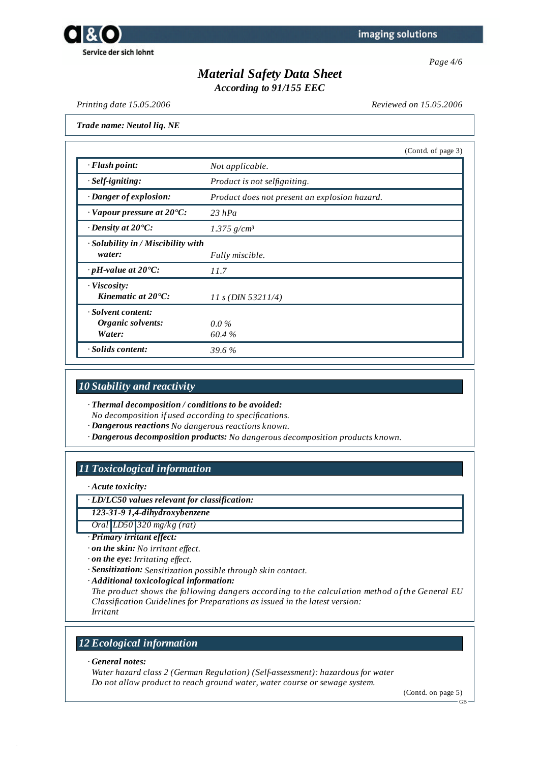



## *Material Safety Data Sheet*

*According to 91/155 EEC*

*Printing date 15.05.2006 Reviewed on 15.05.2006*

*Trade name: Neutol liq. NE*

|                                                    | (Contd. of page 3)                            |  |
|----------------------------------------------------|-----------------------------------------------|--|
| · Flash point:                                     | Not applicable.                               |  |
| $·$ <i>Self-igniting</i> :                         | Product is not selfigniting.                  |  |
| · Danger of explosion:                             | Product does not present an explosion hazard. |  |
| $\cdot$ Vapour pressure at 20 $\cdot$ C:           | $23$ hPa                                      |  |
| $\cdot$ Density at 20 $\degree$ C:                 | $1.375$ g/cm <sup>3</sup>                     |  |
| · Solubility in / Miscibility with<br>water:       | Fully miscible.                               |  |
| $\cdot$ pH-value at 20 $\textdegree$ C:            | 11.7                                          |  |
| $\cdot$ Viscosity:<br>Kinematic at $20^{\circ}$ C: | 11 s (DIN 53211/4)                            |  |
| · Solvent content:<br>Organic solvents:<br>Water:  | $0.0\%$<br>60.4%                              |  |
| · Solids content:                                  | 39.6 %                                        |  |

## *10 Stability and reactivity*

*· Thermal decomposition / conditions to be avoided:*

*No decomposition if used according to specifications.*

*· Dangerous reactions No dangerous reactions known.*

*· Dangerous decomposition products: No dangerous decomposition products known.*

## *11 Toxicological information*

*· Acute toxicity:*

*· LD/LC50 values relevant for classification:*

*123-31-9 1,4-dihydroxybenzene*

*Oral LD50 320 mg/kg (rat)*

*· Primary irritant effect:*

*· on the skin: No irritant ef ect.*

*· on the eye: Irritating ef ect.*

*· Sensitization: Sensitization possible through skin contact.*

*· Additional toxicological information:*

*The product shows the following dangers according to the calculation method of the General EU Classification Guidelines for Preparations as issued in the latest version: Irritant*

## *12 Ecological information*

*· General notes:*

*Water hazard class 2 (German Regulation) (Self-assessment): hazardous for water Do not allow product to reach ground water, water course or sewage system.*

(Contd. on page 5)

GB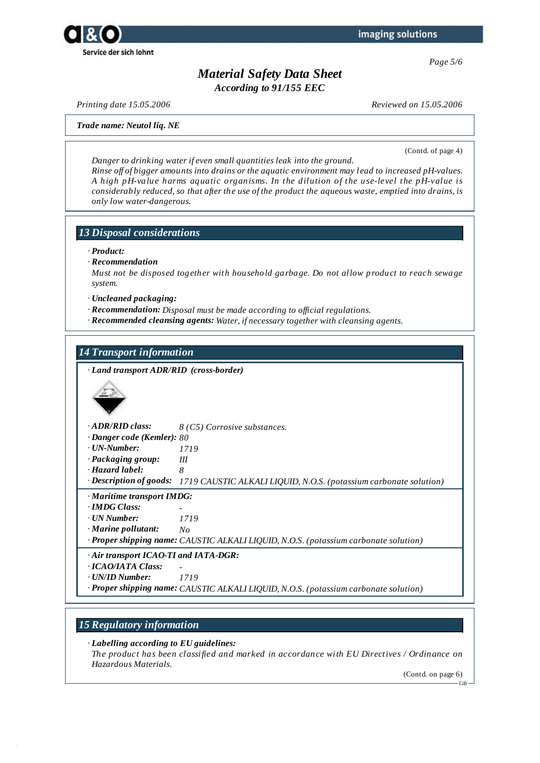

*Page 5/6*

# *Material Safety Data Sheet*

*According to 91/155 EEC*

*Printing date 15.05.2006 Reviewed on 15.05.2006*

### *Trade name: Neutol liq. NE*

(Contd. of page 4)

*Danger to drinking water if even small quantities leak into the ground. Rinse of of bigger amounts into drains or the aquatic environment may lead to increased pH-values. A high pH-value harms aquatic organisms. In the dilution of the use-level the pH-value is considerably reduced, so that after the use of the product the aqueous waste, emptied into drains, is only low water-dangerous.*

## *13 Disposal considerations*

#### *· Product:*

*· Recommendation*

*Must not be disposed together with household garbage. Do not allow product to reach sewage system.*

*· Uncleaned packaging:*

- *· Recommendation: Disposal must be made according to of icial regulations.*
- *· Recommended cleansing agents: Water, if necessary together with cleansing agents.*

### *14 Transport information*

*· Land transport ADR/RID (cross-border)*



*· ADR/RID class: 8 (C5) Corrosive substances.*

- *· Danger code (Kemler): 80*
- *· UN-Number: 1719*
- *· Packaging group: III*
- *· Hazard label: 8*

*· Description of goods: 1719 CAUSTIC ALKALI LIQUID, N.O.S. (potassium carbonate solution)*

- *· Maritime transport IMDG:*
- *· IMDG Class: -*
- *· UN Number: 1719*
- *· Marine pollutant: No*

*· Proper shipping name: CAUSTIC ALKALI LIQUID, N.O.S. (potassium carbonate solution)*

- *· Air transport ICAO-TI and IATA-DGR:*
- *· ICAO/IATA Class: -*

*· UN/ID Number: 1719*

*· Proper shipping name: CAUSTIC ALKALI LIQUID, N.O.S. (potassium carbonate solution)*

## *15 Regulatory information*

### *· Labelling according to EU guidelines:*

*The product has been classified and marked in accordance with EU Directives / Ordinance on Hazardous Materials.*

(Contd. on page 6)

GB